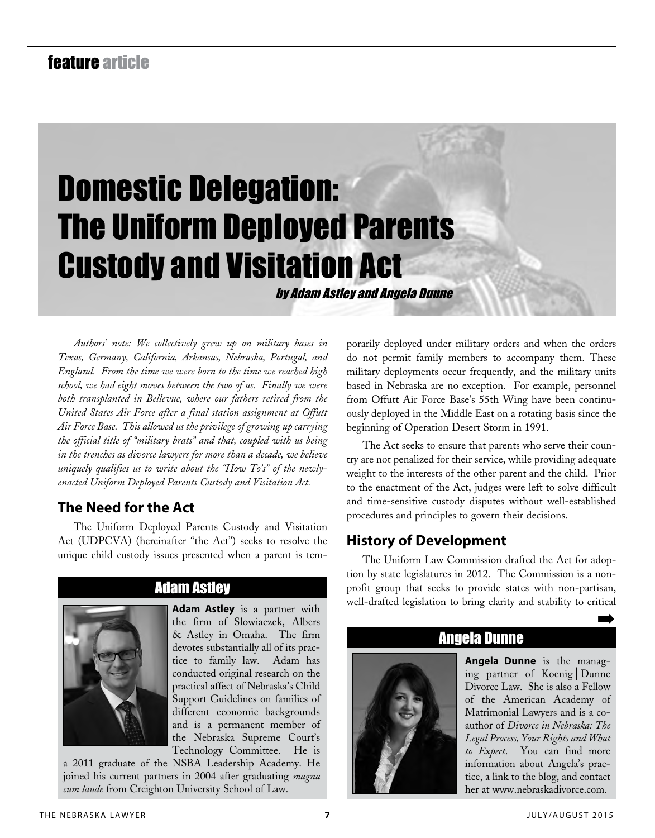# feature article

# Domestic Delegation: The Uniform Deployed Parents Custody and Visitation Act

by Adam Astley and Angela Dunne

*Authors' note: We collectively grew up on military bases in Texas, Germany, California, Arkansas, Nebraska, Portugal, and England. From the time we were born to the time we reached high school, we had eight moves between the two of us. Finally we were both transplanted in Bellevue, where our fathers retired from the United States Air Force after a final station assignment at Offutt Air Force Base. This allowed us the privilege of growing up carrying the official title of "military brats" and that, coupled with us being in the trenches as divorce lawyers for more than a decade, we believe uniquely qualifies us to write about the "How To's" of the newlyenacted Uniform Deployed Parents Custody and Visitation Act.*

## **The Need for the Act**

The Uniform Deployed Parents Custody and Visitation Act (UDPCVA) (hereinafter "the Act") seeks to resolve the unique child custody issues presented when a parent is tem-



## Adam Astley

**Adam Astley** is a partner with the firm of Slowiaczek, Albers & Astley in Omaha. The firm devotes substantially all of its practice to family law. Adam has conducted original research on the practical affect of Nebraska's Child Support Guidelines on families of different economic backgrounds and is a permanent member of the Nebraska Supreme Court's Technology Committee. He is

a 2011 graduate of the NSBA Leadership Academy. He joined his current partners in 2004 after graduating *magna cum laude* from Creighton University School of Law.

porarily deployed under military orders and when the orders do not permit family members to accompany them. These military deployments occur frequently, and the military units based in Nebraska are no exception. For example, personnel from Offutt Air Force Base's 55th Wing have been continuously deployed in the Middle East on a rotating basis since the beginning of Operation Desert Storm in 1991.

The Act seeks to ensure that parents who serve their country are not penalized for their service, while providing adequate weight to the interests of the other parent and the child. Prior to the enactment of the Act, judges were left to solve difficult and time-sensitive custody disputes without well-established procedures and principles to govern their decisions.

## **History of Development**

The Uniform Law Commission drafted the Act for adoption by state legislatures in 2012. The Commission is a nonprofit group that seeks to provide states with non-partisan, well-drafted legislation to bring clarity and stability to critical

# Angela Dunne



**Angela Dunne** is the managing partner of Koenig│Dunne Divorce Law. She is also a Fellow of the American Academy of Matrimonial Lawyers and is a coauthor of *Divorce in Nebraska: The Legal Process, Your Rights and What to Expect*. You can find more information about Angela's practice, a link to the blog, and contact her at www.nebraskadivorce.com.

➡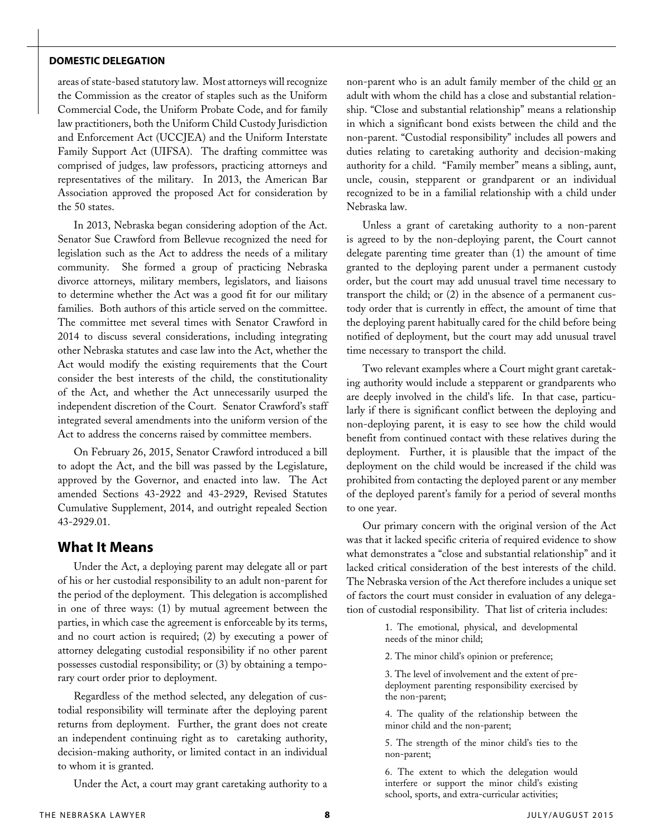#### **Domestic Delegation**

areas of state-based statutory law. Most attorneys will recognize the Commission as the creator of staples such as the Uniform Commercial Code, the Uniform Probate Code, and for family law practitioners, both the Uniform Child Custody Jurisdiction and Enforcement Act (UCCJEA) and the Uniform Interstate Family Support Act (UIFSA). The drafting committee was comprised of judges, law professors, practicing attorneys and representatives of the military. In 2013, the American Bar Association approved the proposed Act for consideration by the 50 states.

In 2013, Nebraska began considering adoption of the Act. Senator Sue Crawford from Bellevue recognized the need for legislation such as the Act to address the needs of a military community. She formed a group of practicing Nebraska divorce attorneys, military members, legislators, and liaisons to determine whether the Act was a good fit for our military families. Both authors of this article served on the committee. The committee met several times with Senator Crawford in 2014 to discuss several considerations, including integrating other Nebraska statutes and case law into the Act, whether the Act would modify the existing requirements that the Court consider the best interests of the child, the constitutionality of the Act, and whether the Act unnecessarily usurped the independent discretion of the Court. Senator Crawford's staff integrated several amendments into the uniform version of the Act to address the concerns raised by committee members.

On February 26, 2015, Senator Crawford introduced a bill to adopt the Act, and the bill was passed by the Legislature, approved by the Governor, and enacted into law. The Act amended Sections 43-2922 and 43-2929, Revised Statutes Cumulative Supplement, 2014, and outright repealed Section 43-2929.01.

#### **What It Means**

Under the Act, a deploying parent may delegate all or part of his or her custodial responsibility to an adult non-parent for the period of the deployment. This delegation is accomplished in one of three ways: (1) by mutual agreement between the parties, in which case the agreement is enforceable by its terms, and no court action is required; (2) by executing a power of attorney delegating custodial responsibility if no other parent possesses custodial responsibility; or (3) by obtaining a temporary court order prior to deployment.

Regardless of the method selected, any delegation of custodial responsibility will terminate after the deploying parent returns from deployment. Further, the grant does not create an independent continuing right as to caretaking authority, decision-making authority, or limited contact in an individual to whom it is granted.

Under the Act, a court may grant caretaking authority to a

non-parent who is an adult family member of the child or an adult with whom the child has a close and substantial relationship. "Close and substantial relationship" means a relationship in which a significant bond exists between the child and the non-parent. "Custodial responsibility" includes all powers and duties relating to caretaking authority and decision-making authority for a child. "Family member" means a sibling, aunt, uncle, cousin, stepparent or grandparent or an individual recognized to be in a familial relationship with a child under Nebraska law.

Unless a grant of caretaking authority to a non-parent is agreed to by the non-deploying parent, the Court cannot delegate parenting time greater than (1) the amount of time granted to the deploying parent under a permanent custody order, but the court may add unusual travel time necessary to transport the child; or (2) in the absence of a permanent custody order that is currently in effect, the amount of time that the deploying parent habitually cared for the child before being notified of deployment, but the court may add unusual travel time necessary to transport the child.

Two relevant examples where a Court might grant caretaking authority would include a stepparent or grandparents who are deeply involved in the child's life. In that case, particularly if there is significant conflict between the deploying and non-deploying parent, it is easy to see how the child would benefit from continued contact with these relatives during the deployment. Further, it is plausible that the impact of the deployment on the child would be increased if the child was prohibited from contacting the deployed parent or any member of the deployed parent's family for a period of several months to one year.

Our primary concern with the original version of the Act was that it lacked specific criteria of required evidence to show what demonstrates a "close and substantial relationship" and it lacked critical consideration of the best interests of the child. The Nebraska version of the Act therefore includes a unique set of factors the court must consider in evaluation of any delegation of custodial responsibility. That list of criteria includes:

> 1. The emotional, physical, and developmental needs of the minor child;

2. The minor child's opinion or preference;

3. The level of involvement and the extent of predeployment parenting responsibility exercised by the non-parent;

4. The quality of the relationship between the minor child and the non-parent;

5. The strength of the minor child's ties to the non-parent;

6. The extent to which the delegation would interfere or support the minor child's existing school, sports, and extra-curricular activities;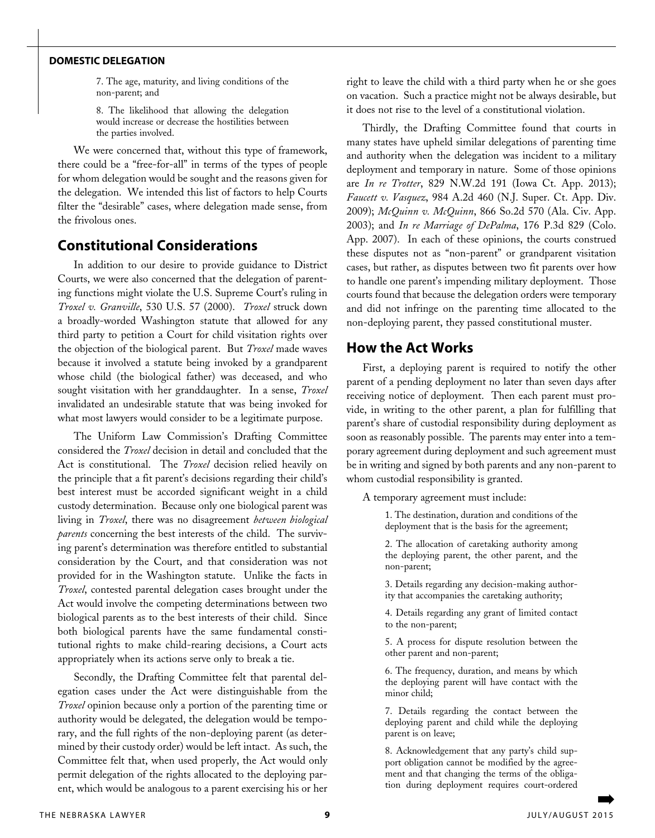#### **Domestic Delegation**

7. The age, maturity, and living conditions of the non-parent; and

8. The likelihood that allowing the delegation would increase or decrease the hostilities between the parties involved.

We were concerned that, without this type of framework, there could be a "free-for-all" in terms of the types of people for whom delegation would be sought and the reasons given for the delegation. We intended this list of factors to help Courts filter the "desirable" cases, where delegation made sense, from the frivolous ones.

#### **Constitutional Considerations**

In addition to our desire to provide guidance to District Courts, we were also concerned that the delegation of parenting functions might violate the U.S. Supreme Court's ruling in *Troxel v. Granville*, 530 U.S. 57 (2000). *Troxel* struck down a broadly-worded Washington statute that allowed for any third party to petition a Court for child visitation rights over the objection of the biological parent. But *Troxel* made waves because it involved a statute being invoked by a grandparent whose child (the biological father) was deceased, and who sought visitation with her granddaughter. In a sense, *Troxel*  invalidated an undesirable statute that was being invoked for what most lawyers would consider to be a legitimate purpose.

The Uniform Law Commission's Drafting Committee considered the *Troxel* decision in detail and concluded that the Act is constitutional. The *Troxel* decision relied heavily on the principle that a fit parent's decisions regarding their child's best interest must be accorded significant weight in a child custody determination. Because only one biological parent was living in *Troxel*, there was no disagreement *between biological parents* concerning the best interests of the child. The surviving parent's determination was therefore entitled to substantial consideration by the Court, and that consideration was not provided for in the Washington statute. Unlike the facts in *Troxel*, contested parental delegation cases brought under the Act would involve the competing determinations between two biological parents as to the best interests of their child. Since both biological parents have the same fundamental constitutional rights to make child-rearing decisions, a Court acts appropriately when its actions serve only to break a tie.

Secondly, the Drafting Committee felt that parental delegation cases under the Act were distinguishable from the *Troxel* opinion because only a portion of the parenting time or authority would be delegated, the delegation would be temporary, and the full rights of the non-deploying parent (as determined by their custody order) would be left intact. As such, the Committee felt that, when used properly, the Act would only permit delegation of the rights allocated to the deploying parent, which would be analogous to a parent exercising his or her

right to leave the child with a third party when he or she goes on vacation. Such a practice might not be always desirable, but it does not rise to the level of a constitutional violation.

Thirdly, the Drafting Committee found that courts in many states have upheld similar delegations of parenting time and authority when the delegation was incident to a military deployment and temporary in nature. Some of those opinions are *In re Trotter*, 829 N.W.2d 191 (Iowa Ct. App. 2013); *Faucett v. Vasquez*, 984 A.2d 460 (N.J. Super. Ct. App. Div. 2009); *McQuinn v. McQuinn*, 866 So.2d 570 (Ala. Civ. App. 2003); and *In re Marriage of DePalma*, 176 P.3d 829 (Colo. App. 2007). In each of these opinions, the courts construed these disputes not as "non-parent" or grandparent visitation cases, but rather, as disputes between two fit parents over how to handle one parent's impending military deployment. Those courts found that because the delegation orders were temporary and did not infringe on the parenting time allocated to the non-deploying parent, they passed constitutional muster.

## **How the Act Works**

First, a deploying parent is required to notify the other parent of a pending deployment no later than seven days after receiving notice of deployment. Then each parent must provide, in writing to the other parent, a plan for fulfilling that parent's share of custodial responsibility during deployment as soon as reasonably possible. The parents may enter into a temporary agreement during deployment and such agreement must be in writing and signed by both parents and any non-parent to whom custodial responsibility is granted.

A temporary agreement must include:

1. The destination, duration and conditions of the deployment that is the basis for the agreement;

2. The allocation of caretaking authority among the deploying parent, the other parent, and the non-parent;

3. Details regarding any decision-making authority that accompanies the caretaking authority;

4. Details regarding any grant of limited contact to the non-parent;

5. A process for dispute resolution between the other parent and non-parent;

6. The frequency, duration, and means by which the deploying parent will have contact with the minor child;

7. Details regarding the contact between the deploying parent and child while the deploying parent is on leave;

8. Acknowledgement that any party's child support obligation cannot be modified by the agreement and that changing the terms of the obligation during deployment requires court-ordered